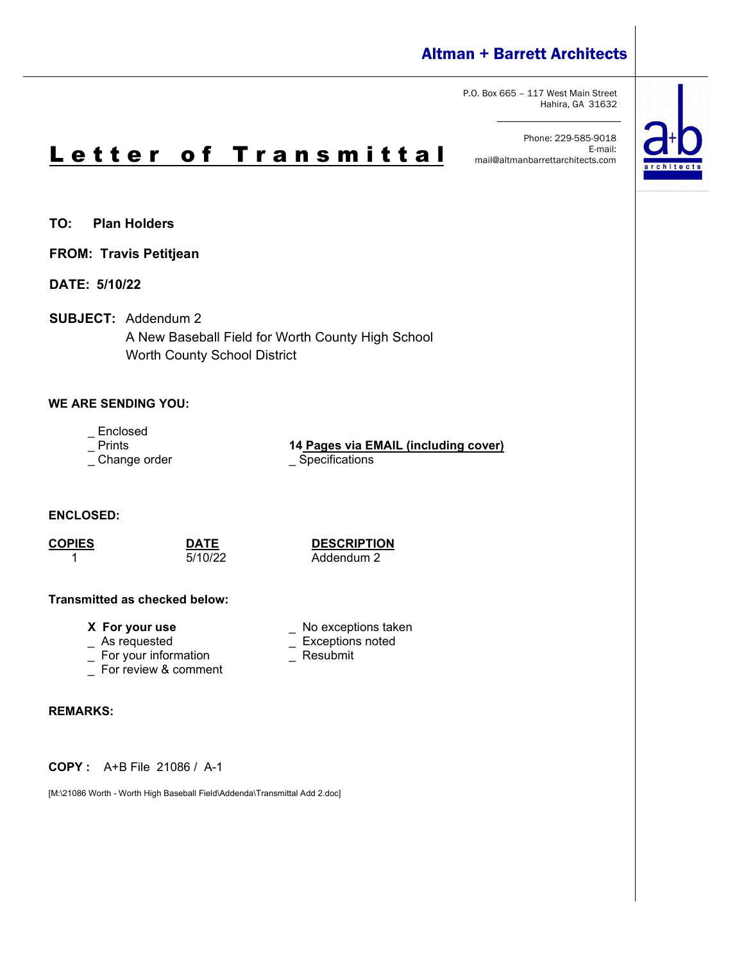### Altman + Barrett Architects

P.O. Box 665 – 117 West Main Street Hahira, GA 31632

Phone: 229-585-9018 E-mail: mail@altmanbarrettarchitects.com



**TO: Plan Holders**

**FROM: Travis Petitjean**

**DATE: 5/10/22**

**SUBJECT:** Addendum 2

A New Baseball Field for Worth County High School Worth County School District

### **WE ARE SENDING YOU:**

- Enclosed<br>- Prints

\_ Change order \_\_\_\_\_\_\_\_\_\_\_\_\_\_\_\_\_\_\_\_\_\_\_\_\_\_Specifications

14 Pages via **EMAIL** (including cover)

**ENCLOSED:**

**COPIES DATE DESCRIPTION** Addendum 2

\_ Exceptions noted<br>\_ Resubmit

#### **Transmitted as checked below:**

**X** For your use  $\qquad \qquad$  No exceptions taken  $\qquad \qquad$  As requested  $\qquad \qquad \qquad$  Exceptions noted

- 
- $\overline{\phantom{a}}$  For your information
- \_ For review & comment

#### **REMARKS:**

**COPY :** A+B File 21086 / A-1

[M:\21086 Worth - Worth High Baseball Field\Addenda\Transmittal Add 2.doc]

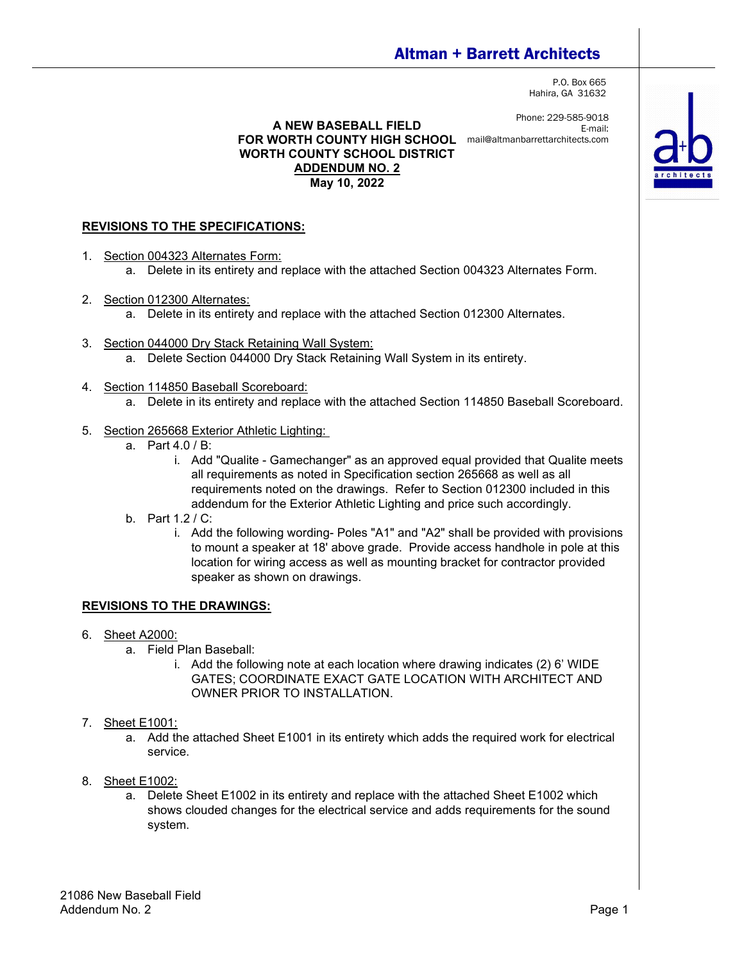## Altman + Barrett Architects

P.O. Box 665 Hahira, GA 31632

Phone: 229-585-9018 E-mail:

**A NEW BASEBALL FIELD FOR WORTH COUNTY HIGH SCHOOL** mail@altmanbarrettarchitects.com**WORTH COUNTY SCHOOL DISTRICT ADDENDUM NO. 2 May 10, 2022**

#### **REVISIONS TO THE SPECIFICATIONS:**

- 1. Section 004323 Alternates Form: a. Delete in its entirety and replace with the attached Section 004323 Alternates Form.
- 2. Section 012300 Alternates:
	- a. Delete in its entirety and replace with the attached Section 012300 Alternates.
- 3. Section 044000 Dry Stack Retaining Wall System: a. Delete Section 044000 Dry Stack Retaining Wall System in its entirety.
- 4. Section 114850 Baseball Scoreboard:
	- a. Delete in its entirety and replace with the attached Section 114850 Baseball Scoreboard.
- 5. Section 265668 Exterior Athletic Lighting:
	- a. Part 4.0 / B:
		- i. Add "Qualite Gamechanger" as an approved equal provided that Qualite meets all requirements as noted in Specification section 265668 as well as all requirements noted on the drawings. Refer to Section 012300 included in this addendum for the Exterior Athletic Lighting and price such accordingly.
	- b. Part 1.2 / C:
		- i. Add the following wording- Poles "A1" and "A2" shall be provided with provisions to mount a speaker at 18' above grade. Provide access handhole in pole at this location for wiring access as well as mounting bracket for contractor provided speaker as shown on drawings.

#### **REVISIONS TO THE DRAWINGS:**

- 6. Sheet A2000:
	- a. Field Plan Baseball:
		- i. Add the following note at each location where drawing indicates (2) 6' WIDE GATES; COORDINATE EXACT GATE LOCATION WITH ARCHITECT AND OWNER PRIOR TO INSTALLATION.
- 7. Sheet E1001:
	- a. Add the attached Sheet E1001 in its entirety which adds the required work for electrical service.
- 8. Sheet E1002:
	- a. Delete Sheet E1002 in its entirety and replace with the attached Sheet E1002 which shows clouded changes for the electrical service and adds requirements for the sound system.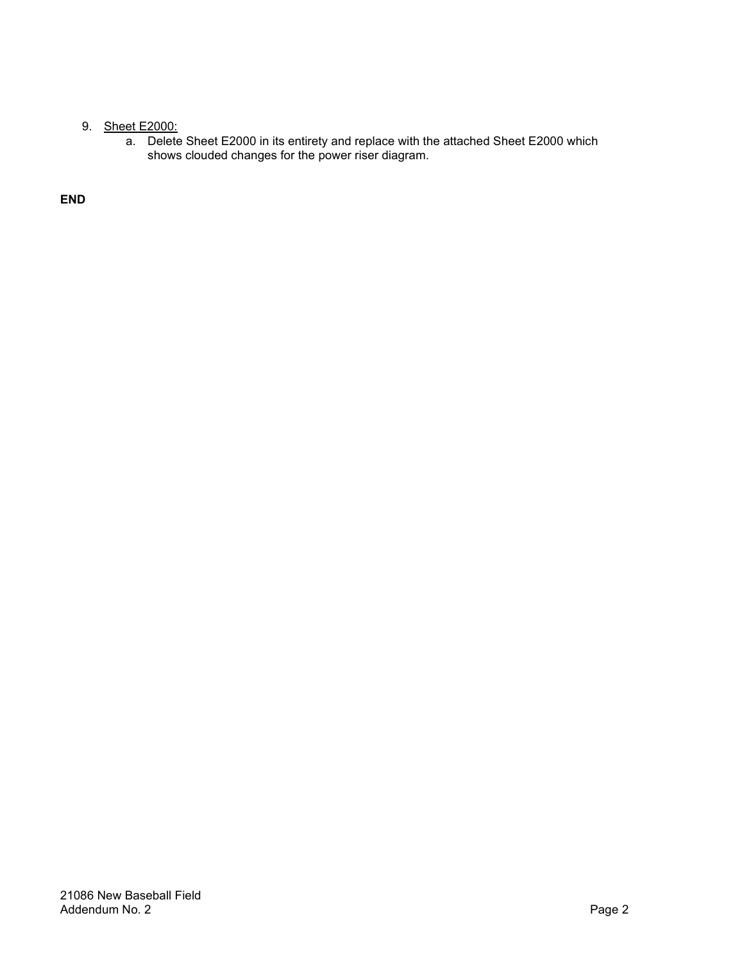### 9. Sheet E2000:

a. Delete Sheet E2000 in its entirety and replace with the attached Sheet E2000 which shows clouded changes for the power riser diagram.

**END**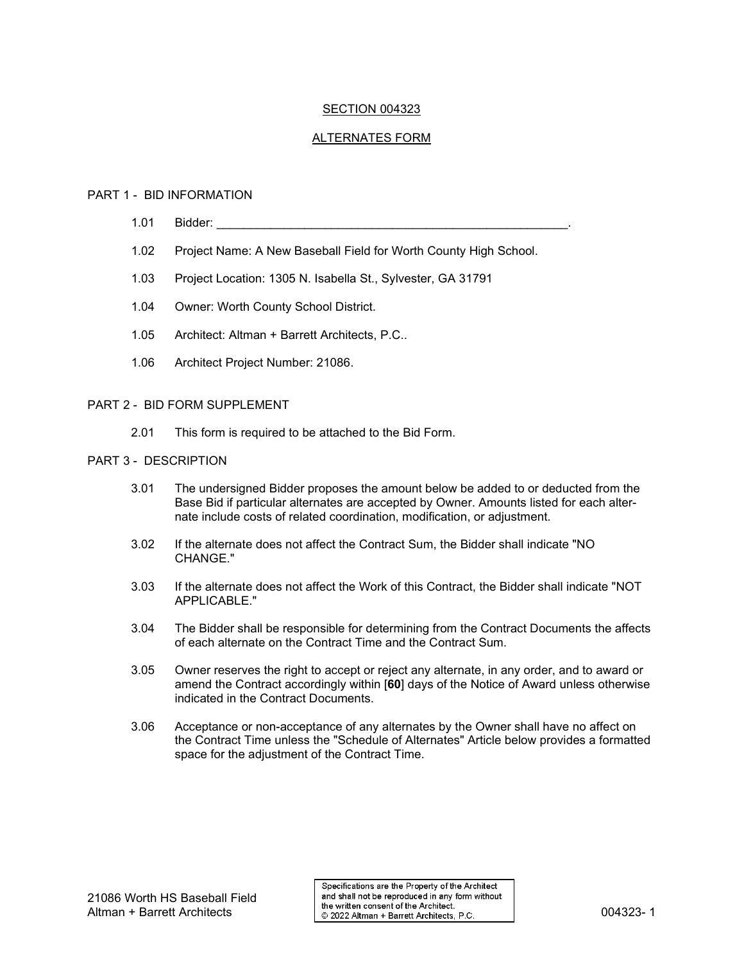#### SECTION 004323

#### ALTERNATES FORM

#### PART 1 - BID INFORMATION

- 1.01 Bidder:
- 1.02 Project Name: A New Baseball Field for Worth County High School.
- 1.03 Project Location: 1305 N. Isabella St., Sylvester, GA 31791
- 1.04 Owner: Worth County School District.
- 1.05 Architect: Altman + Barrett Architects, P.C..
- 1.06 Architect Project Number: 21086.

#### PART 2 - BID FORM SUPPLEMENT

2.01 This form is required to be attached to the Bid Form.

#### PART 3 - DESCRIPTION

- 3.01 The undersigned Bidder proposes the amount below be added to or deducted from the Base Bid if particular alternates are accepted by Owner. Amounts listed for each alternate include costs of related coordination, modification, or adjustment.
- 3.02 If the alternate does not affect the Contract Sum, the Bidder shall indicate "NO CHANGE<sup>"</sup>
- 3.03 If the alternate does not affect the Work of this Contract, the Bidder shall indicate "NOT APPLICABLE."
- 3.04 The Bidder shall be responsible for determining from the Contract Documents the affects of each alternate on the Contract Time and the Contract Sum.
- 3.05 Owner reserves the right to accept or reject any alternate, in any order, and to award or amend the Contract accordingly within [**60**] days of the Notice of Award unless otherwise indicated in the Contract Documents.
- 3.06 Acceptance or non-acceptance of any alternates by the Owner shall have no affect on the Contract Time unless the "Schedule of Alternates" Article below provides a formatted space for the adjustment of the Contract Time.

Specifications are the Property of the Architect and shall not be reproduced in any form without Altman + Barrett Architects<br>Altman + Barrett Architects 004323- 1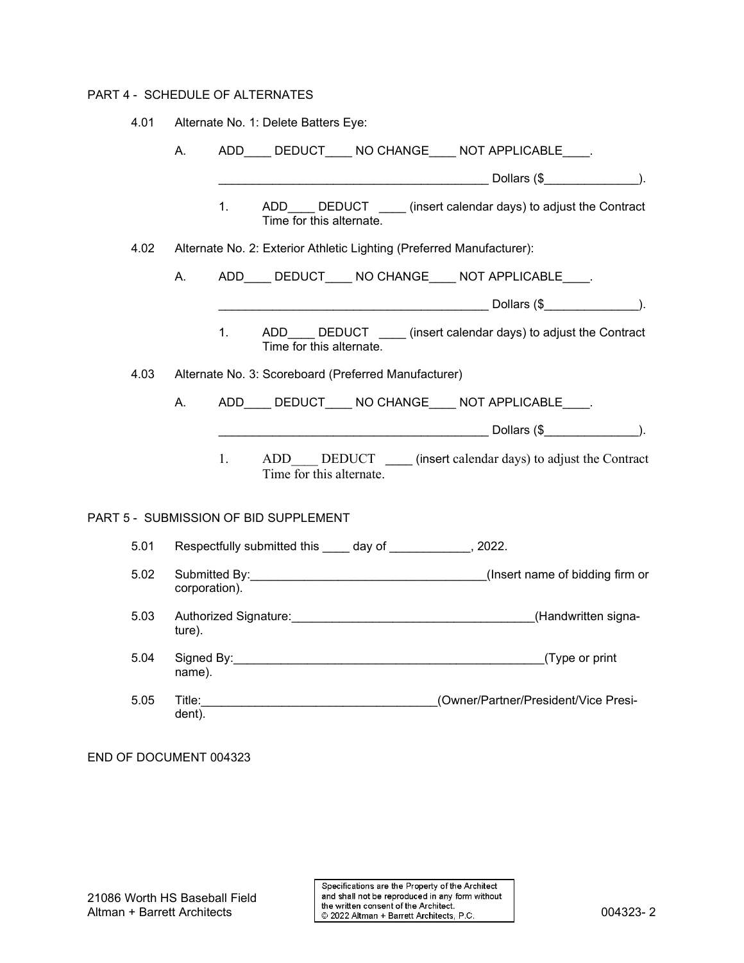#### PART 4 - SCHEDULE OF ALTERNATES

4.01 Alternate No. 1: Delete Batters Eye:

|      | А.            |         |                                       |                                                                       | ADD____ DEDUCT____ NO CHANGE____ NOT APPLICABLE____.              |  |
|------|---------------|---------|---------------------------------------|-----------------------------------------------------------------------|-------------------------------------------------------------------|--|
|      |               |         |                                       |                                                                       |                                                                   |  |
|      |               | $1_{-}$ | Time for this alternate.              |                                                                       | ADD____ DEDUCT ____ (insert calendar days) to adjust the Contract |  |
| 4.02 |               |         |                                       | Alternate No. 2: Exterior Athletic Lighting (Preferred Manufacturer): |                                                                   |  |
|      | А.            |         |                                       |                                                                       | ADD DEDUCT NOCHANGE NOT APPLICABLE .                              |  |
|      |               |         |                                       |                                                                       |                                                                   |  |
|      |               | $1_{-}$ | Time for this alternate.              |                                                                       | ADD DEDUCT _____ (insert calendar days) to adjust the Contract    |  |
| 4.03 |               |         |                                       | Alternate No. 3: Scoreboard (Preferred Manufacturer)                  |                                                                   |  |
|      | Α.            |         |                                       |                                                                       | ADD DEDUCT NO CHANGE NOT APPLICABLE .                             |  |
|      |               |         |                                       |                                                                       |                                                                   |  |
|      |               | $1_{-}$ | Time for this alternate.              |                                                                       | ADD DEDUCT (insert calendar days) to adjust the Contract          |  |
|      |               |         | PART 5 - SUBMISSION OF BID SUPPLEMENT |                                                                       |                                                                   |  |
| 5.01 |               |         |                                       | Respectfully submitted this _____ day of _____________, 2022.         |                                                                   |  |
| 5.02 | corporation). |         |                                       |                                                                       |                                                                   |  |
| 5.03 | ture).        |         |                                       |                                                                       |                                                                   |  |
| 5.04 | name).        |         |                                       |                                                                       |                                                                   |  |
| 5.05 | dent).        |         |                                       |                                                                       |                                                                   |  |

END OF DOCUMENT 004323

Specifications are the Property of the Architect And shall not be reproduced in any form without<br>the written consent of the Architects 004323- 2<br>
© 2022 Altman + Barrett Architects, P.C. 004323- 2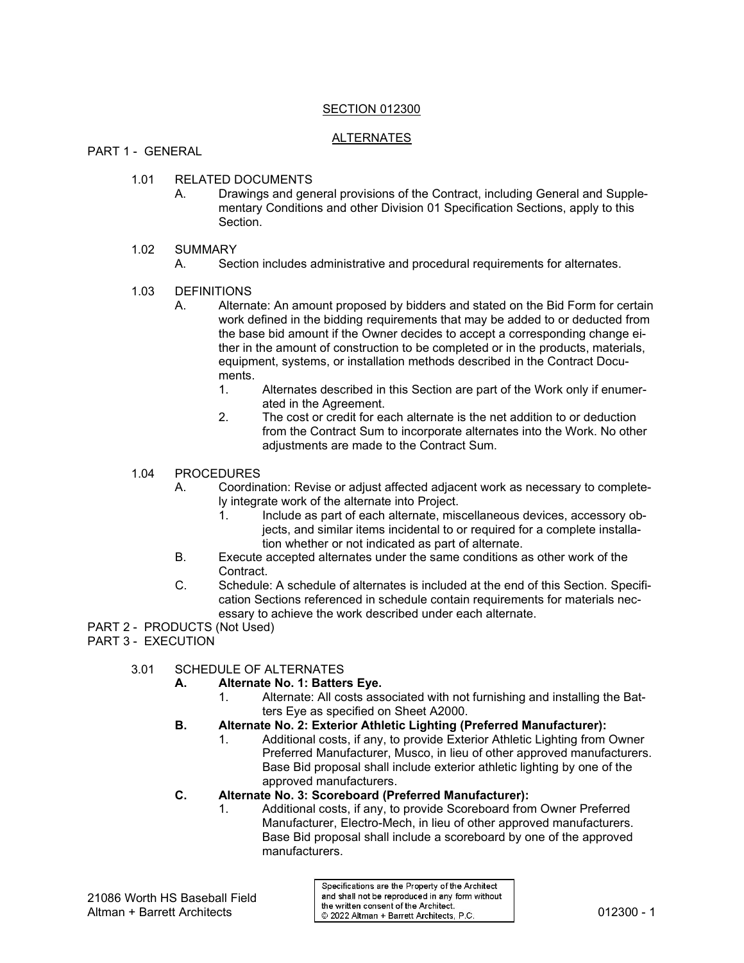#### SECTION 012300

#### ALTERNATES

PART 1 - GENERAL

- 1.01 RELATED DOCUMENTS
	- A. Drawings and general provisions of the Contract, including General and Supplementary Conditions and other Division 01 Specification Sections, apply to this Section.

#### 1.02 SUMMARY

A. Section includes administrative and procedural requirements for alternates.

#### 1.03 DEFINITIONS

- A. Alternate: An amount proposed by bidders and stated on the Bid Form for certain work defined in the bidding requirements that may be added to or deducted from the base bid amount if the Owner decides to accept a corresponding change either in the amount of construction to be completed or in the products, materials, equipment, systems, or installation methods described in the Contract Documents.
	- 1. Alternates described in this Section are part of the Work only if enumerated in the Agreement.
	- 2. The cost or credit for each alternate is the net addition to or deduction from the Contract Sum to incorporate alternates into the Work. No other adjustments are made to the Contract Sum.

#### 1.04 PROCEDURES

- A. Coordination: Revise or adjust affected adjacent work as necessary to completely integrate work of the alternate into Project.
	- 1. Include as part of each alternate, miscellaneous devices, accessory objects, and similar items incidental to or required for a complete installation whether or not indicated as part of alternate.
- B. Execute accepted alternates under the same conditions as other work of the Contract.
- C. Schedule: A schedule of alternates is included at the end of this Section. Specification Sections referenced in schedule contain requirements for materials necessary to achieve the work described under each alternate.

PART 2 - PRODUCTS (Not Used)

PART 3 - EXECUTION

#### 3.01 SCHEDULE OF ALTERNATES

- **A. Alternate No. 1: Batters Eye.**
	- 1. Alternate: All costs associated with not furnishing and installing the Batters Eye as specified on Sheet A2000.
- **B. Alternate No. 2: Exterior Athletic Lighting (Preferred Manufacturer):**
	- 1. Additional costs, if any, to provide Exterior Athletic Lighting from Owner Preferred Manufacturer, Musco, in lieu of other approved manufacturers. Base Bid proposal shall include exterior athletic lighting by one of the approved manufacturers.
- **C. Alternate No. 3: Scoreboard (Preferred Manufacturer):**
	- 1. Additional costs, if any, to provide Scoreboard from Owner Preferred Manufacturer, Electro-Mech, in lieu of other approved manufacturers. Base Bid proposal shall include a scoreboard by one of the approved manufacturers.

Specifications are the Property of the Architect and shall not be reproduced in any form without Altman + Barrett Architects<br>Altman + Barrett Architects 012300 - 1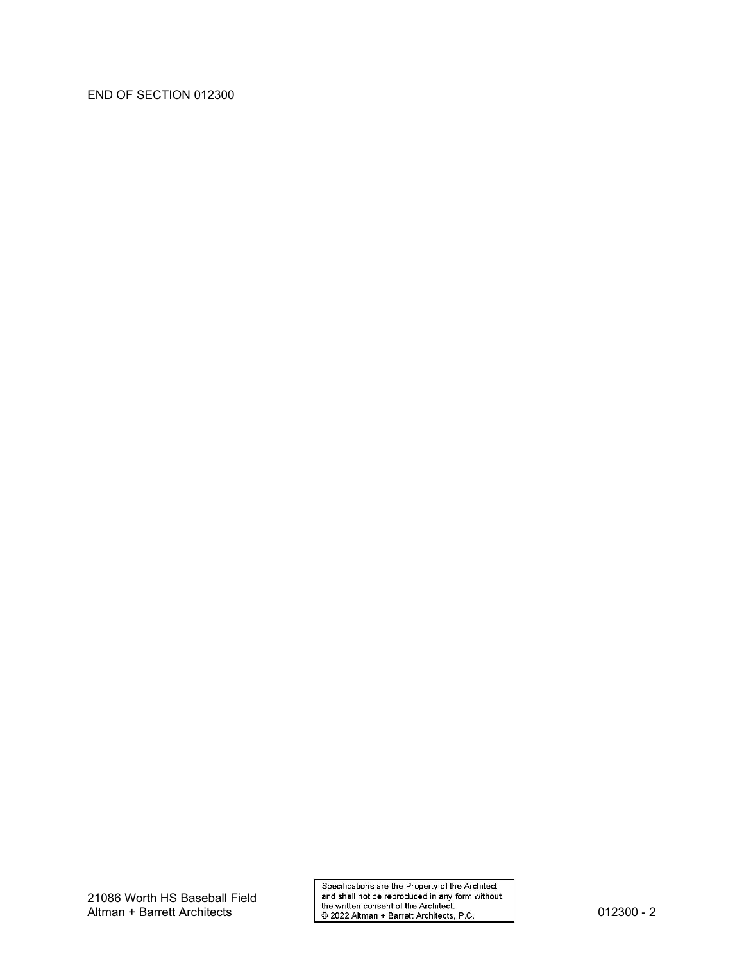#### END OF SECTION 012300

Specifications are the Property of the Architect<br>and shall not be reproduced in any form without<br>the written consent of the Architect.<br>© 2022 Altman + Barrett Architects, P.C.<br>2022 Altman + Barrett Architects, P.C.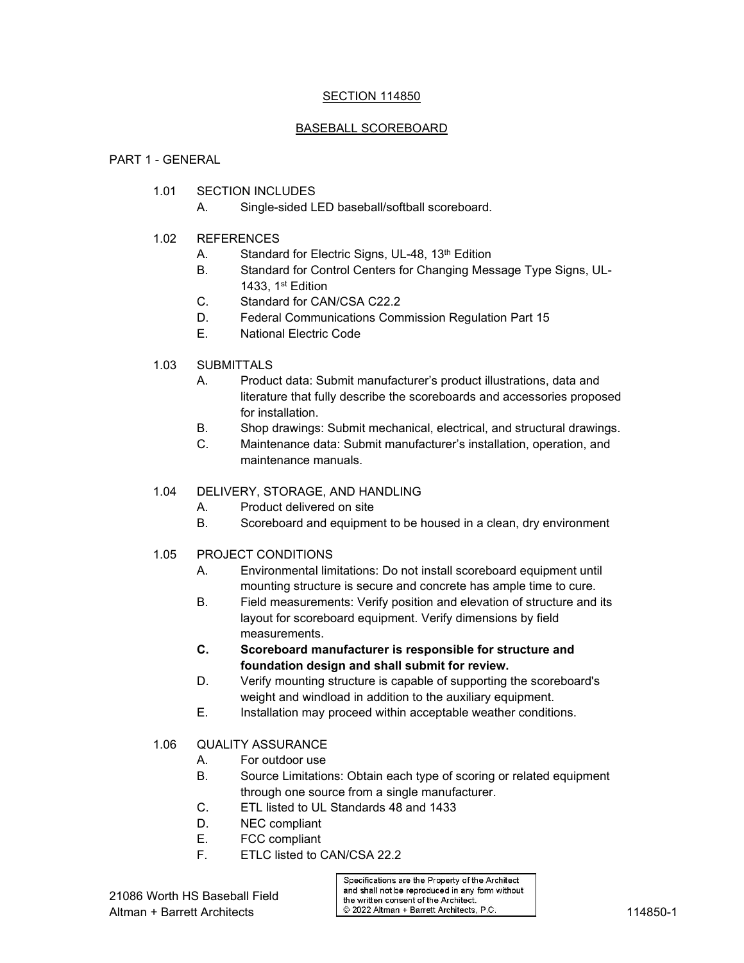#### SECTION 114850

#### BASEBALL SCOREBOARD

#### PART 1 - GENERAL

- 1.01 SECTION INCLUDES
	- A. Single-sided LED baseball/softball scoreboard.
- 1.02 REFERENCES
	- A. Standard for Electric Signs, UL-48, 13<sup>th</sup> Edition
	- B. Standard for Control Centers for Changing Message Type Signs, UL-1433,  $1<sup>st</sup>$  Edition
	- C. Standard for CAN/CSA C22.2
	- D. Federal Communications Commission Regulation Part 15
	- E. National Electric Code
- 1.03 SUBMITTALS
	- A. Product data: Submit manufacturer's product illustrations, data and literature that fully describe the scoreboards and accessories proposed for installation.
	- B. Shop drawings: Submit mechanical, electrical, and structural drawings.
	- C. Maintenance data: Submit manufacturer's installation, operation, and maintenance manuals.

#### 1.04 DELIVERY, STORAGE, AND HANDLING

- A. Product delivered on site
- B. Scoreboard and equipment to be housed in a clean, dry environment
- 1.05 PROJECT CONDITIONS
	- A. Environmental limitations: Do not install scoreboard equipment until mounting structure is secure and concrete has ample time to cure.
	- B. Field measurements: Verify position and elevation of structure and its layout for scoreboard equipment. Verify dimensions by field measurements.
	- **C. Scoreboard manufacturer is responsible for structure and foundation design and shall submit for review.**
	- D. Verify mounting structure is capable of supporting the scoreboard's weight and windload in addition to the auxiliary equipment.
	- E. Installation may proceed within acceptable weather conditions.
- 1.06 QUALITY ASSURANCE
	- A. For outdoor use
	- B. Source Limitations: Obtain each type of scoring or related equipment through one source from a single manufacturer.
	- C. ETL listed to UL Standards 48 and 1433
	- D. NEC compliant
	- E. FCC compliant
	- F. ETLC listed to CAN/CSA 22.2

Specifications are the Property of the Architect and shall not be reproduced in any form without the written consent of the Architect. Altman + Barrett Architects 114850-1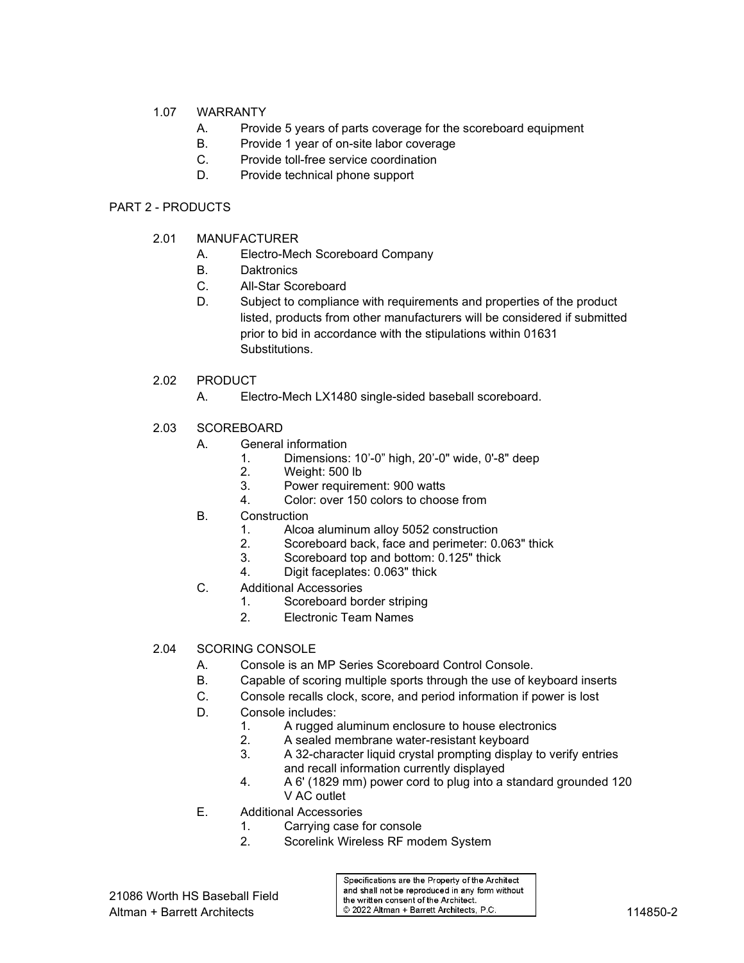#### 1.07 WARRANTY

- A. Provide 5 years of parts coverage for the scoreboard equipment
- B. Provide 1 year of on-site labor coverage
- C. Provide toll-free service coordination
- D. Provide technical phone support

#### PART 2 - PRODUCTS

- 2.01 MANUFACTURER
	- A. Electro-Mech Scoreboard Company
	- B. Daktronics
	- C. All-Star Scoreboard
	- D. Subject to compliance with requirements and properties of the product listed, products from other manufacturers will be considered if submitted prior to bid in accordance with the stipulations within 01631 Substitutions.
- 2.02 PRODUCT
	- A. Electro-Mech LX1480 single-sided baseball scoreboard.
- 2.03 SCOREBOARD
	- A. General information
		- 1. Dimensions: 10'-0" high, 20'-0" wide, 0'-8" deep
		- 2. Weight: 500 lb
		- 3. Power requirement: 900 watts
		- 4. Color: over 150 colors to choose from
	- B. Construction
		- 1. Alcoa aluminum alloy 5052 construction
		- 2. Scoreboard back, face and perimeter: 0.063" thick<br>3. Scoreboard top and bottom: 0.125" thick
		- Scoreboard top and bottom: 0.125" thick
		- 4. Digit faceplates: 0.063" thick
	- C. Additional Accessories<br>1 Scoreboard bo
		- Scoreboard border striping
		- 2. Electronic Team Names
- 2.04 SCORING CONSOLE
	- A. Console is an MP Series Scoreboard Control Console.
	- B. Capable of scoring multiple sports through the use of keyboard inserts
	- C. Console recalls clock, score, and period information if power is lost
	- D. Console includes:
		- 1. A rugged aluminum enclosure to house electronics
		- 2. A sealed membrane water-resistant keyboard
		- 3. A 32-character liquid crystal prompting display to verify entries and recall information currently displayed
		- 4. A 6' (1829 mm) power cord to plug into a standard grounded 120 V AC outlet
	- E. Additional Accessories
		- 1. Carrying case for console
		- 2. Scorelink Wireless RF modem System

Specifications are the Property of the Architect and shall not be reproduced in any form without the written consent of the Architect. Altman + Barrett Architects **114850-2** © 2022 Altman + Barrett Architects, P.C. 114850-2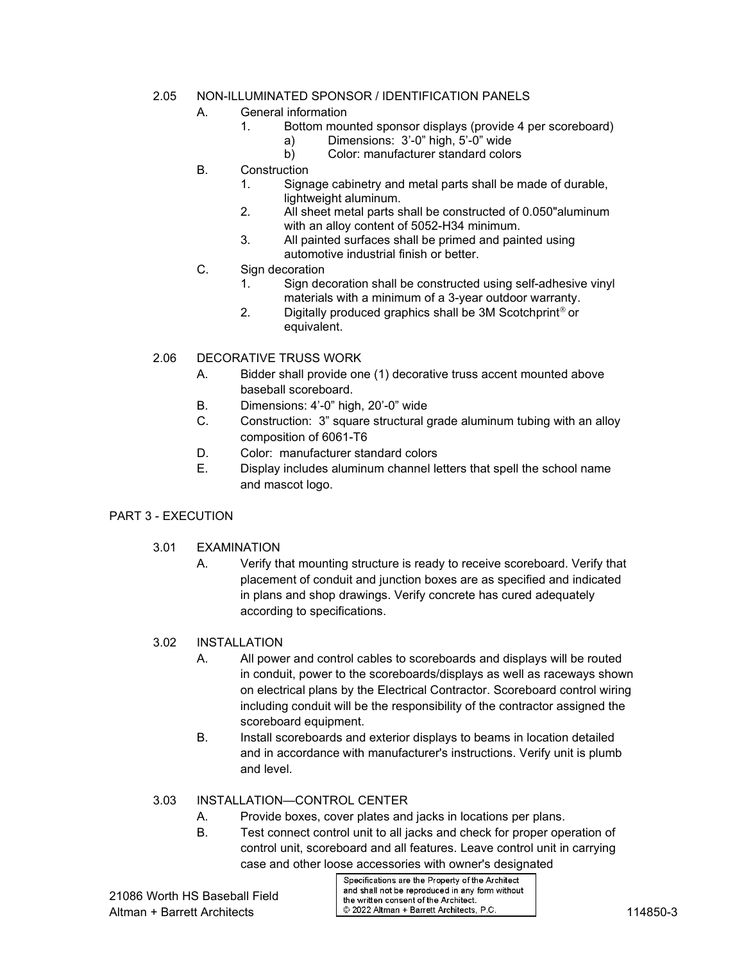#### 2.05 NON-ILLUMINATED SPONSOR / IDENTIFICATION PANELS

- A. General information
	- 1. Bottom mounted sponsor displays (provide 4 per scoreboard)
		- a) Dimensions: 3'-0" high, 5'-0" wide
		- b) Color: manufacturer standard colors
- B. Construction
	- 1. Signage cabinetry and metal parts shall be made of durable, lightweight aluminum.
	- 2. All sheet metal parts shall be constructed of 0.050"aluminum with an alloy content of 5052-H34 minimum.
	- 3. All painted surfaces shall be primed and painted using automotive industrial finish or better.
- C. Sign decoration
	- 1. Sign decoration shall be constructed using self-adhesive vinyl materials with a minimum of a 3-year outdoor warranty.
	- 2. Digitally produced graphics shall be  $3M$  Scotchprint<sup>®</sup> or equivalent.

### 2.06 DECORATIVE TRUSS WORK

- A. Bidder shall provide one (1) decorative truss accent mounted above baseball scoreboard.
- B. Dimensions: 4'-0" high, 20'-0" wide
- C. Construction: 3" square structural grade aluminum tubing with an alloy composition of 6061-T6
- D. Color: manufacturer standard colors
- E. Display includes aluminum channel letters that spell the school name and mascot logo.

#### PART 3 - EXECUTION

- 3.01 EXAMINATION
	- A. Verify that mounting structure is ready to receive scoreboard. Verify that placement of conduit and junction boxes are as specified and indicated in plans and shop drawings. Verify concrete has cured adequately according to specifications.

#### 3.02 INSTALLATION

- A. All power and control cables to scoreboards and displays will be routed in conduit, power to the scoreboards/displays as well as raceways shown on electrical plans by the Electrical Contractor. Scoreboard control wiring including conduit will be the responsibility of the contractor assigned the scoreboard equipment.
- B. Install scoreboards and exterior displays to beams in location detailed and in accordance with manufacturer's instructions. Verify unit is plumb and level.

#### 3.03 INSTALLATION—CONTROL CENTER

- A. Provide boxes, cover plates and jacks in locations per plans.
- B. Test connect control unit to all jacks and check for proper operation of control unit, scoreboard and all features. Leave control unit in carrying case and other loose accessories with owner's designated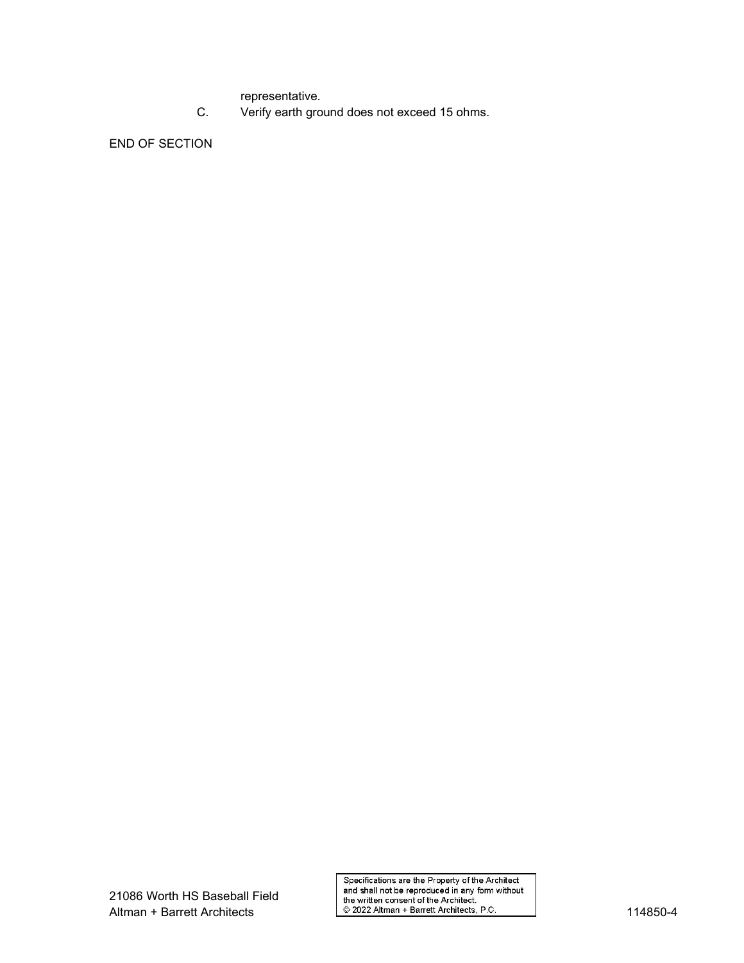representative.

C. Verify earth ground does not exceed 15 ohms.

END OF SECTION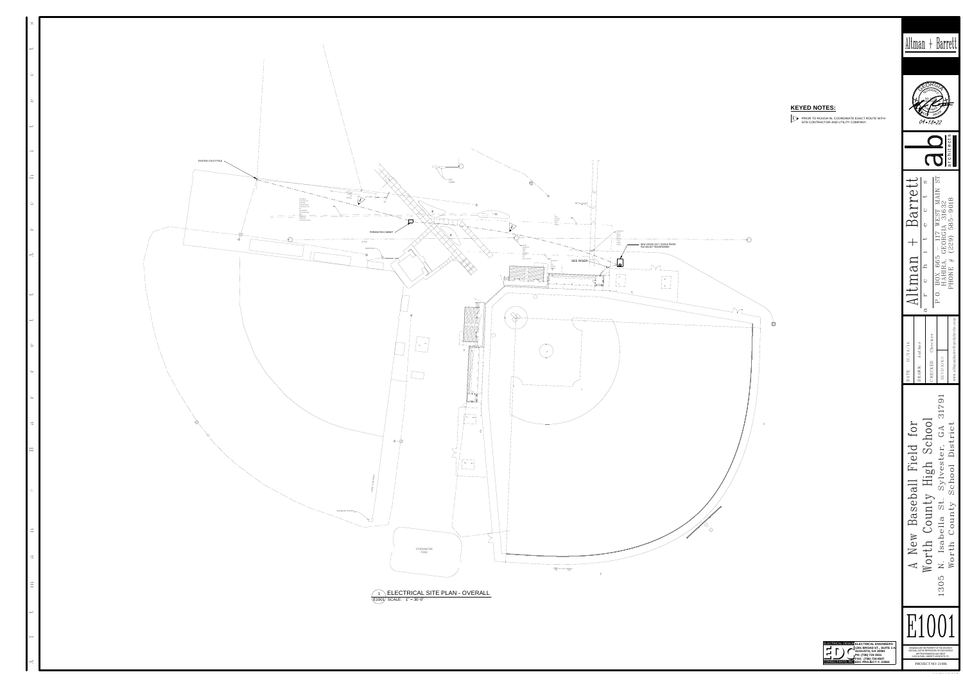# Altman + Barrett









## **KEYED NOTES:**

PRIOR TO ROUGH IN, COORDINATE EXACT ROUTE WITH SITE CONTRACTOR AND UTILITY COMPANY. **1**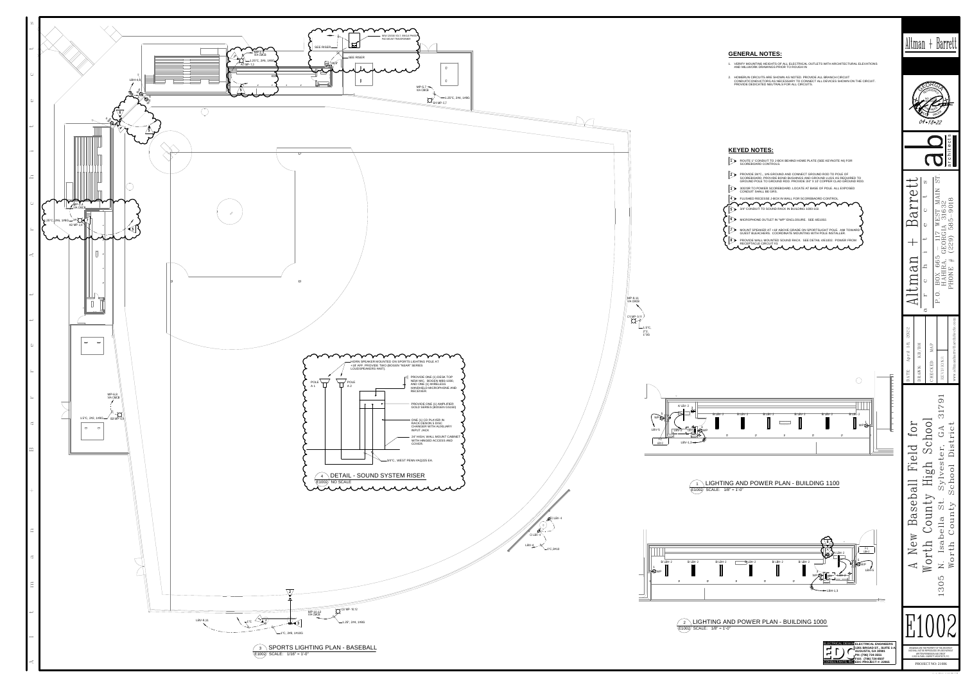1WPS

WP I BH-F-1LBH-2

# Altman + Barrett

**1201 BROAD ST., SUITE 1-A AUGUSTA, GA 30901 PH: (706) 724-3551 FAX: (706) 724-8507 EDC PROJECT #: 22065**





- 
-